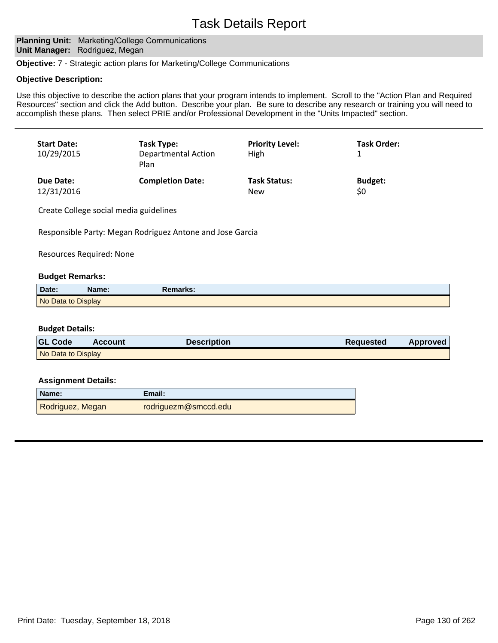### **Planning Unit: Marketing/College Communications Unit Manager: Rodriguez, Megan**

**Objective:** 7 - Strategic action plans for Marketing/College Communications

#### **Objective Description:**

Use this objective to describe the action plans that your program intends to implement. Scroll to the "Action Plan and Required Resources" section and click the Add button. Describe your plan. Be sure to describe any research or training you will need to accomplish these plans. Then select PRIE and/or Professional Development in the "Units Impacted" section.

| <b>Start Date:</b><br>10/29/2015 | Task Type:<br>Departmental Action<br>Plan | <b>Priority Level:</b><br>High | <b>Task Order:</b> |
|----------------------------------|-------------------------------------------|--------------------------------|--------------------|
| Due Date:                        | <b>Completion Date:</b>                   | <b>Task Status:</b>            | <b>Budget:</b>     |
| 12/31/2016                       |                                           | <b>New</b>                     | \$0                |

Create College social media guidelines

Responsible Party: Megan Rodriguez Antone and Jose Garcia

Resources Required: None

#### **Budget Remarks:**

| Date:              | Name: | Remarks: |
|--------------------|-------|----------|
| No Data to Display |       |          |

#### **Budget Details:**

| <b>GL Code</b>     | <b>Account</b> | <b>Description</b> | <b>Requested</b> | <b>Approved</b> |
|--------------------|----------------|--------------------|------------------|-----------------|
| No Data to Display |                |                    |                  |                 |

| Name:            | Email:               |
|------------------|----------------------|
| Rodriguez, Megan | rodriguezm@smccd.edu |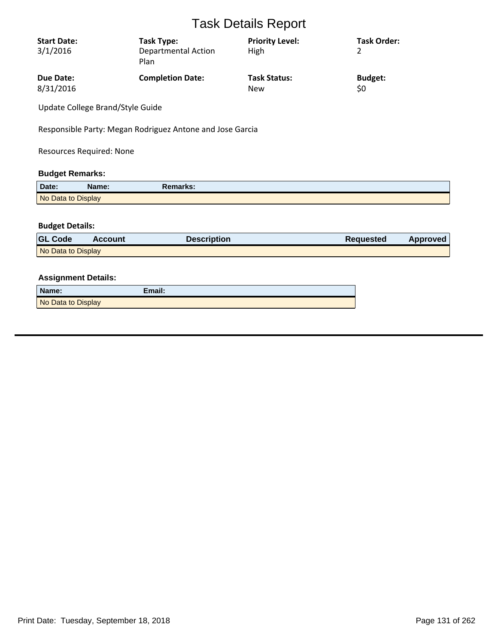| <b>Start Date:</b><br>3/1/2016 | Task Type:<br><b>Departmental Action</b><br>Plan | <b>Priority Level:</b><br>High | <b>Task Order:</b> |
|--------------------------------|--------------------------------------------------|--------------------------------|--------------------|
| Due Date:                      | <b>Completion Date:</b>                          | <b>Task Status:</b>            | <b>Budget:</b>     |
| 8/31/2016                      |                                                  | <b>New</b>                     | \$0                |

Update College Brand/Style Guide

Responsible Party: Megan Rodriguez Antone and Jose Garcia

Resources Required: None

### **Budget Remarks:**

| Date:              | Name: | Remarks: |  |
|--------------------|-------|----------|--|
| No Data to Display |       |          |  |

## **Budget Details:**

| <b>GL Code</b>     | <b>Account</b> | <b>Description</b> | Requested | Approved |
|--------------------|----------------|--------------------|-----------|----------|
| No Data to Display |                |                    |           |          |

| Name:              | Email: |
|--------------------|--------|
| No Data to Display |        |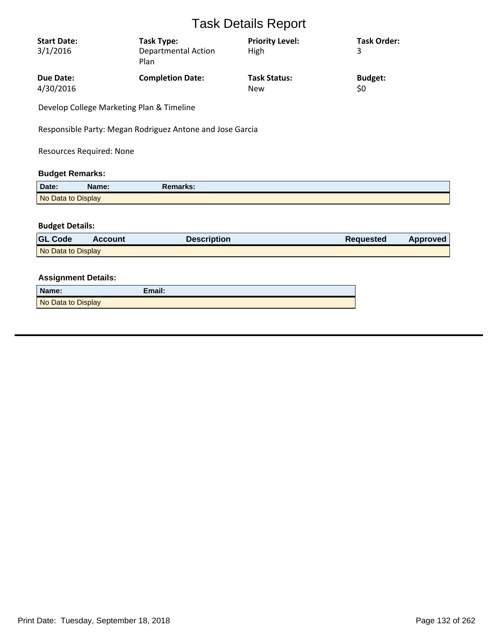| <b>Start Date:</b><br>3/1/2016 | Task Type:<br><b>Departmental Action</b><br>Plan | <b>Priority Level:</b><br>High | <b>Task Order:</b><br>3 |
|--------------------------------|--------------------------------------------------|--------------------------------|-------------------------|
| Due Date:                      | <b>Completion Date:</b>                          | <b>Task Status:</b>            | <b>Budget:</b>          |
| 4/30/2016                      |                                                  | New                            | \$0                     |

Develop College Marketing Plan & Timeline

Responsible Party: Megan Rodriguez Antone and Jose Garcia

Resources Required: None

### **Budget Remarks:**

| Date:              | Name: | Remarks: |  |
|--------------------|-------|----------|--|
| No Data to Display |       |          |  |

## **Budget Details:**

| <b>GL Code</b>     | <b>Account</b> | <b>Description</b> | Requested | Approved |
|--------------------|----------------|--------------------|-----------|----------|
| No Data to Display |                |                    |           |          |

| Name:              | Email: |
|--------------------|--------|
| No Data to Display |        |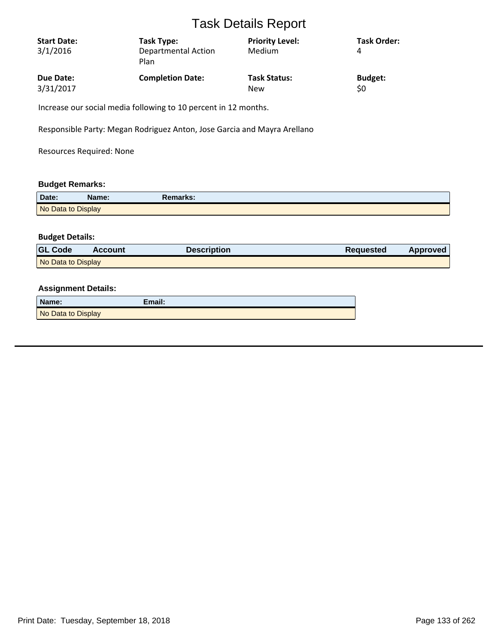| <b>Start Date:</b><br>3/1/2016 | Task Type:<br><b>Departmental Action</b><br>Plan | <b>Priority Level:</b><br>Medium | <b>Task Order:</b><br>4 |
|--------------------------------|--------------------------------------------------|----------------------------------|-------------------------|
| Due Date:                      | <b>Completion Date:</b>                          | <b>Task Status:</b>              | <b>Budget:</b>          |
| 3/31/2017                      |                                                  | <b>New</b>                       | \$0                     |

Increase our social media following to 10 percent in 12 months.

Responsible Party: Megan Rodriguez Anton, Jose Garcia and Mayra Arellano

Resources Required: None

## **Budget Remarks:**

| Date:              | Name: | Remarks: |
|--------------------|-------|----------|
| No Data to Display |       |          |

### **Budget Details:**

| <b>GL Code</b>     | Account | Description | <b>Requested</b> | Approved |
|--------------------|---------|-------------|------------------|----------|
| No Data to Display |         |             |                  |          |

| Name:              | Email: |
|--------------------|--------|
| No Data to Display |        |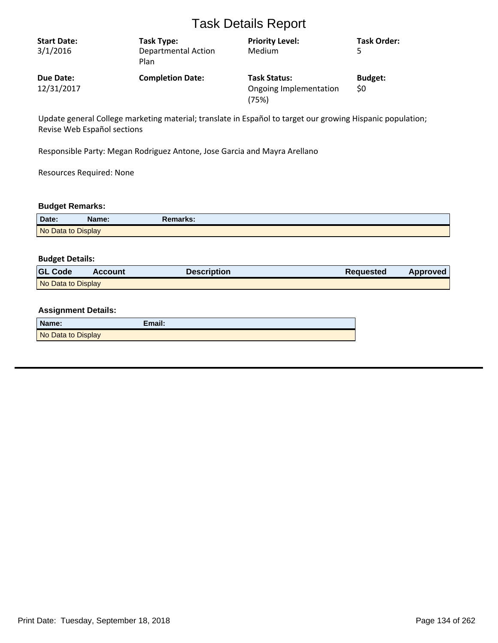| <b>Start Date:</b><br>3/1/2016 | Task Type:<br><b>Departmental Action</b><br>Plan | <b>Priority Level:</b><br>Medium                       | <b>Task Order:</b>    |
|--------------------------------|--------------------------------------------------|--------------------------------------------------------|-----------------------|
| Due Date:<br>12/31/2017        | <b>Completion Date:</b>                          | <b>Task Status:</b><br>Ongoing Implementation<br>(75%) | <b>Budget:</b><br>\$0 |

Update general College marketing material; translate in Español to target our growing Hispanic population; Revise Web Español sections

Responsible Party: Megan Rodriguez Antone, Jose Garcia and Mayra Arellano

Resources Required: None

#### **Budget Remarks:**

| Date:              | Name: | Remarks: |  |
|--------------------|-------|----------|--|
| No Data to Display |       |          |  |

#### **Budget Details:**

| <b>GL Code</b>     | <b>Account</b> | <b>Description</b> | <b>Requested</b> | <b>Approved</b> |
|--------------------|----------------|--------------------|------------------|-----------------|
| No Data to Display |                |                    |                  |                 |

| Name:              | Email: |
|--------------------|--------|
| No Data to Display |        |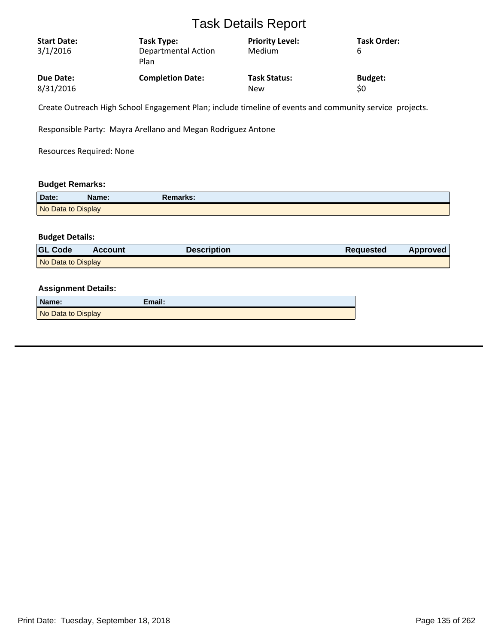| <b>Start Date:</b> | Task Type:                         | <b>Priority Level:</b> | <b>Task Order:</b> |
|--------------------|------------------------------------|------------------------|--------------------|
| 3/1/2016           | <b>Departmental Action</b><br>Plan | Medium                 | b                  |
| <b>Due Date:</b>   | <b>Completion Date:</b>            | <b>Task Status:</b>    | <b>Budget:</b>     |
| 8/31/2016          |                                    | <b>New</b>             | \$0                |

Create Outreach High School Engagement Plan; include timeline of events and community service projects.

Responsible Party: Mayra Arellano and Megan Rodriguez Antone

Resources Required: None

## **Budget Remarks:**

| Date:              | Name: | Remarks: |
|--------------------|-------|----------|
| No Data to Display |       |          |

#### **Budget Details:**

| <b>GL Code</b>     | Account | Description | <b>Requested</b> | Approved |
|--------------------|---------|-------------|------------------|----------|
| No Data to Display |         |             |                  |          |

| Name:              | Email: |
|--------------------|--------|
| No Data to Display |        |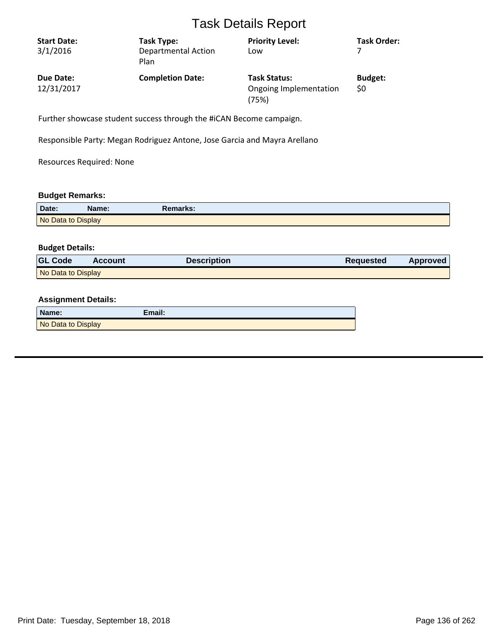| <b>Start Date:</b><br>3/1/2016 | Task Type:<br><b>Departmental Action</b><br>Plan | <b>Priority Level:</b><br>Low                          | <b>Task Order:</b>    |
|--------------------------------|--------------------------------------------------|--------------------------------------------------------|-----------------------|
| Due Date:<br>12/31/2017        | <b>Completion Date:</b>                          | <b>Task Status:</b><br>Ongoing Implementation<br>(75%) | <b>Budget:</b><br>\$0 |

Further showcase student success through the #iCAN Become campaign.

Responsible Party: Megan Rodriguez Antone, Jose Garcia and Mayra Arellano

Resources Required: None

## **Budget Remarks:**

| Date:              | Name: | <b>Remarks:</b> |
|--------------------|-------|-----------------|
| No Data to Display |       |                 |

## **Budget Details:**

| <b>GL Code</b>     | <b>Account</b> | <b>Description</b> | <b>Requested</b> | <b>Approved</b> |
|--------------------|----------------|--------------------|------------------|-----------------|
| No Data to Display |                |                    |                  |                 |

| Name:              | Email: |
|--------------------|--------|
| No Data to Display |        |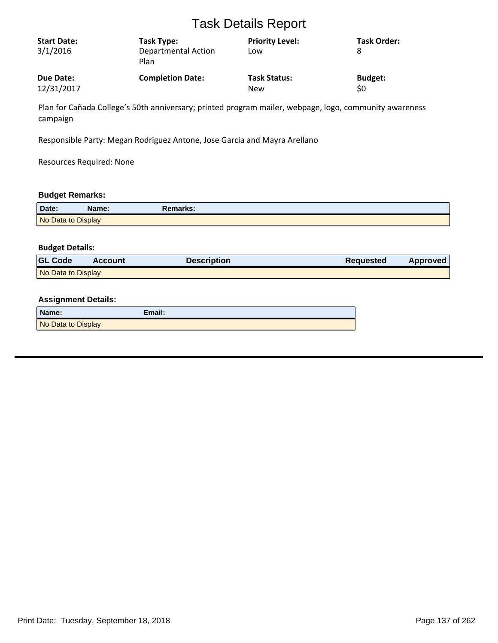| <b>Start Date:</b> | Task Type:                         | <b>Priority Level:</b> | <b>Task Order:</b> |
|--------------------|------------------------------------|------------------------|--------------------|
| 3/1/2016           | <b>Departmental Action</b><br>Plan | Low                    |                    |
| Due Date:          | <b>Completion Date:</b>            | <b>Task Status:</b>    | <b>Budget:</b>     |
| 12/31/2017         |                                    | <b>New</b>             | \$0                |

Plan for Cañada College's 50th anniversary; printed program mailer, webpage, logo, community awareness campaign

Responsible Party: Megan Rodriguez Antone, Jose Garcia and Mayra Arellano

Resources Required: None

#### **Budget Remarks:**

| Date:              | Name: | Remarks: |
|--------------------|-------|----------|
| No Data to Display |       |          |

#### **Budget Details:**

| <b>GL Code</b>     | <b>Account</b> | <b>Description</b> | <b>Requested</b> | <b>Approved</b> |
|--------------------|----------------|--------------------|------------------|-----------------|
| No Data to Display |                |                    |                  |                 |

| Name:              | Email: |
|--------------------|--------|
| No Data to Display |        |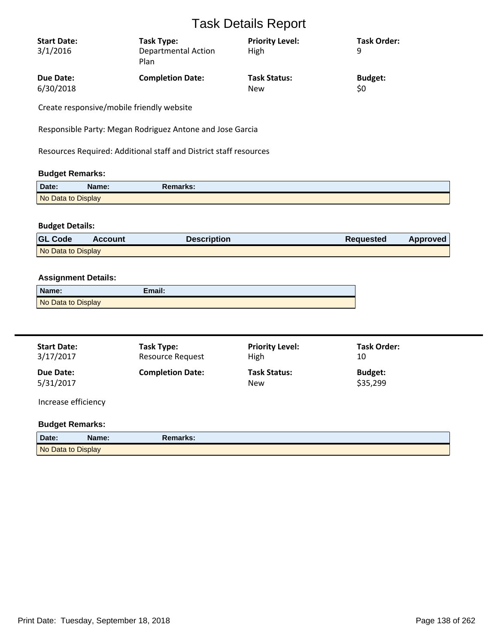| <b>Start Date:</b> | Task Type:                         | <b>Priority Level:</b> | Task Order:    |
|--------------------|------------------------------------|------------------------|----------------|
| 3/1/2016           | <b>Departmental Action</b><br>Plan | High                   | q              |
| <b>Due Date:</b>   | <b>Completion Date:</b>            | <b>Task Status:</b>    | <b>Budget:</b> |
| 6/30/2018          |                                    | <b>New</b>             | \$0            |
| $\sim$ $\sim$      |                                    |                        |                |

Create responsive/mobile friendly website

Responsible Party: Megan Rodriguez Antone and Jose Garcia

Resources Required: Additional staff and District staff resources

### **Budget Remarks:**

| Date:              | Name: | Remarks: |  |
|--------------------|-------|----------|--|
| No Data to Display |       |          |  |

## **Budget Details:**

| <b>GL Code</b>     | <b>Account</b> | Description | <b>Requested</b> | Approved |
|--------------------|----------------|-------------|------------------|----------|
| No Data to Display |                |             |                  |          |

## **Assignment Details:**

| Name:              | Email: |
|--------------------|--------|
| No Data to Display |        |

| <b>Start Date:</b><br>3/17/2017 | Task Type:<br><b>Resource Request</b> | <b>Priority Level:</b><br>High    | <b>Task Order:</b><br>10   |  |
|---------------------------------|---------------------------------------|-----------------------------------|----------------------------|--|
| Due Date:<br>5/31/2017          | <b>Completion Date:</b>               | <b>Task Status:</b><br><b>New</b> | <b>Budget:</b><br>\$35,299 |  |
| Increase efficiency             |                                       |                                   |                            |  |

### **Budget Remarks:**

| Date:              | Name: | Remarks: |
|--------------------|-------|----------|
| No Data to Display |       |          |